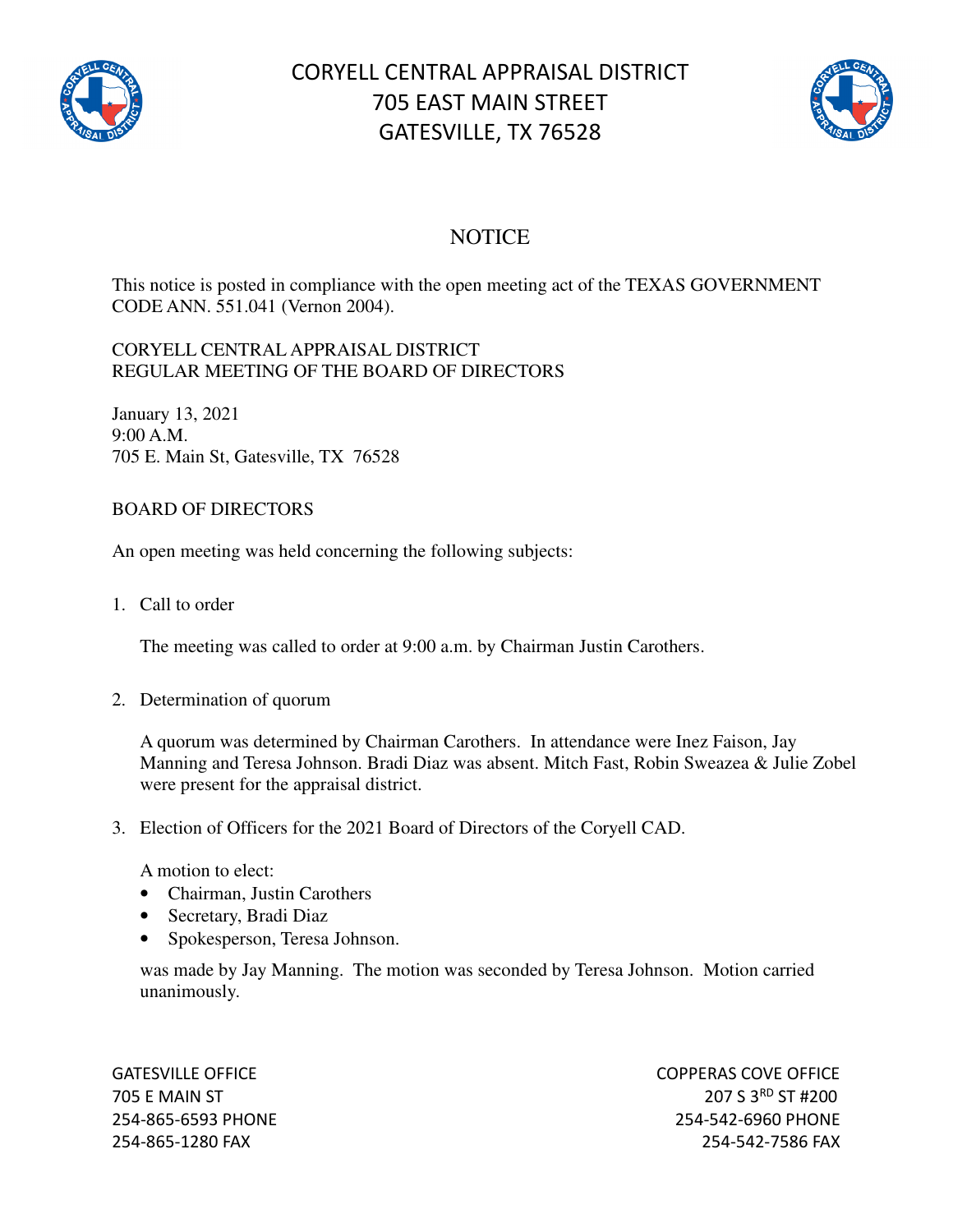

# CORYELL CENTRAL APPRAISAL DISTRICT 705 EAST MAIN STREET GATESVILLE, TX 76528



# **NOTICE**

This notice is posted in compliance with the open meeting act of the TEXAS GOVERNMENT CODE ANN. 551.041 (Vernon 2004).

#### CORYELL CENTRAL APPRAISAL DISTRICT REGULAR MEETING OF THE BOARD OF DIRECTORS

January 13, 2021 9:00 A.M. 705 E. Main St, Gatesville, TX 76528

## BOARD OF DIRECTORS

An open meeting was held concerning the following subjects:

1. Call to order

The meeting was called to order at 9:00 a.m. by Chairman Justin Carothers.

2. Determination of quorum

A quorum was determined by Chairman Carothers. In attendance were Inez Faison, Jay Manning and Teresa Johnson. Bradi Diaz was absent. Mitch Fast, Robin Sweazea & Julie Zobel were present for the appraisal district.

3. Election of Officers for the 2021 Board of Directors of the Coryell CAD.

A motion to elect:

- Chairman, Justin Carothers
- Secretary, Bradi Diaz
- Spokesperson, Teresa Johnson.

was made by Jay Manning. The motion was seconded by Teresa Johnson. Motion carried unanimously.

GATESVILLE OFFICE **COPPERAS COVE OF EXAMPLE 2** 705 E MAIN ST 207 S 3<sup>RD</sup> ST #200 254-865-6593 PHONE 254-542-6960 PHONE 254-865-1280 FAX 254-542-7586 FAX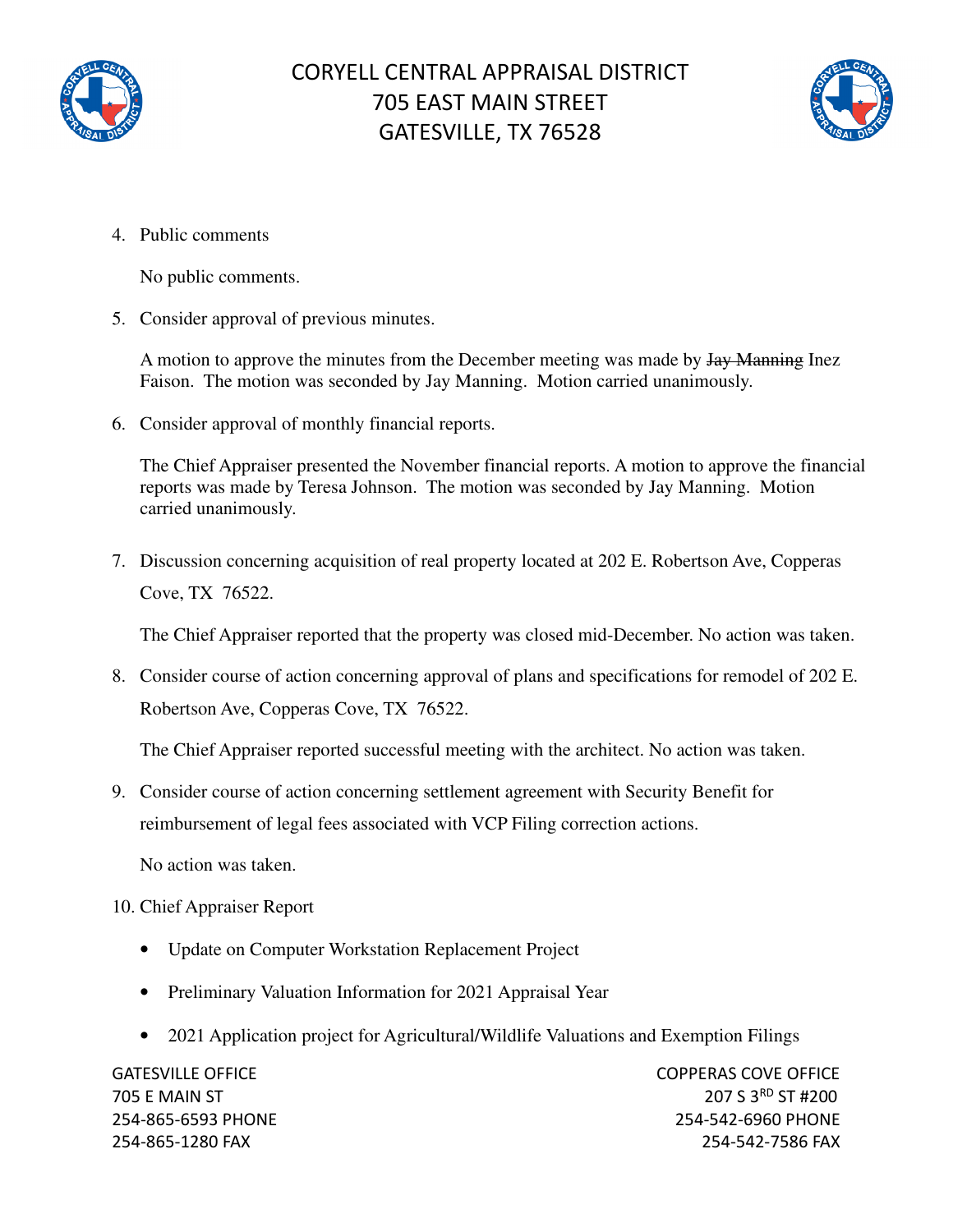



4. Public comments

No public comments.

5. Consider approval of previous minutes.

A motion to approve the minutes from the December meeting was made by  $\frac{1}{4}$  Manning Inez Faison. The motion was seconded by Jay Manning. Motion carried unanimously.

6. Consider approval of monthly financial reports.

The Chief Appraiser presented the November financial reports. A motion to approve the financial reports was made by Teresa Johnson. The motion was seconded by Jay Manning. Motion carried unanimously.

7. Discussion concerning acquisition of real property located at 202 E. Robertson Ave, Copperas Cove, TX 76522.

The Chief Appraiser reported that the property was closed mid-December. No action was taken.

8. Consider course of action concerning approval of plans and specifications for remodel of 202 E. Robertson Ave, Copperas Cove, TX 76522.

The Chief Appraiser reported successful meeting with the architect. No action was taken.

9. Consider course of action concerning settlement agreement with Security Benefit for reimbursement of legal fees associated with VCP Filing correction actions.

No action was taken.

### 10. Chief Appraiser Report

- Update on Computer Workstation Replacement Project
- Preliminary Valuation Information for 2021 Appraisal Year
- 2021 Application project for Agricultural/Wildlife Valuations and Exemption Filings

GATESVILLE OFFICE **COPPERAS COVE OF EXAMPLE 2** 705 E MAIN ST 207 S 3RD ST #200 254-865-6593 PHONE 254-542-6960 PHONE 254-865-1280 FAX 254-542-7586 FAX